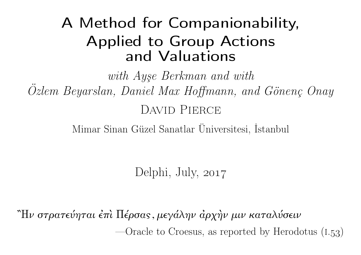# A Method for Companionability, Applied to Group Actionsand Valuations

with Ayşe Berkman and with Özlem Beyarslan, Daniel Max Hoffmann, and Gönenç OnayDAVID PIERCE

Mimar Sinan Güzel Sanatlar Üniversitesi, İstanbul

Delphi, July, 2017

῍Ην στρατεύηται ἐπὶ Πέρσας, μεγάλην ἀρχὴν μιν καταλύσειν—Oracle to Croesus, as reported by Herodotus  $(1.53)$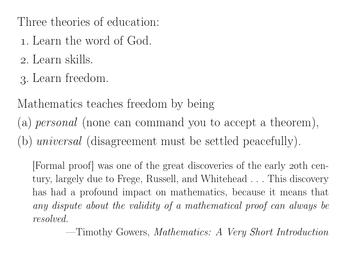Three theories of education:

- . Learn the word of God.
- . Learn skills.
- . Learn freedom.

## Mathematics teaches freedom by being

(a)  $\mathit{personal}$  (none can command you to accept a theorem),

(b)  $universal$  (disagreement must be settled peacefully).

[Formal proof] was one of the grea<sup>t</sup> discoveries of the early th century, largely due to Frege, Russell, and Whitehead . . . This discoveryhas had <sup>a</sup> profound impact on mathematics, because it means thatany dispute about the validity of a mathematical proof can always be *resolved.*

—Timothy Gowers, *Mathematics: <sup>A</sup> Very Short Introduction*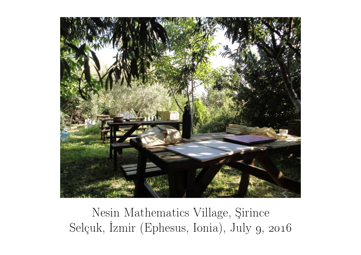

Nesin Mathematics Village, ŞirinceSelçuk, İzmir (Ephesus, Ionia), July 9, 2016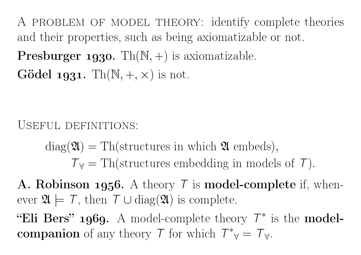A problem of model theory: identify complete theoriesand their properties, such as being axiomatizable or not. **Presburger 1930.** Th $(\mathbb{N}, +)$  is axiomatizable.  $G\ddot{\text{o}}$ del 1931. Th $(\mathbb{N}, +, \times)$  is not.

USEFUL DEFINITIONS:

 $diag(\mathfrak{A}) = Th(\text{structures in which } \mathfrak{A} \text{ embeds}),$  $T\mathbf{v} = \text{Th}(\text{structures embedding in models of } \mathcal{T}).$ 

A. Robinson 1956. A theory  $\tau$  is model-complete if, whenever  $\mathfrak{A} \models \mathcal{T}$ , then  $\mathcal{T} \cup \text{diag}(\mathfrak{A})$  is complete.

"Eli Bers" 1969. A model-complete theory  $\mathcal{T}^*$  is the modelcompanion of any theory  $\mathcal{T}$  for which  $\mathcal{T}^*_{\forall} =$  $^*_{\;\;\forall}=\top_{\forall}.$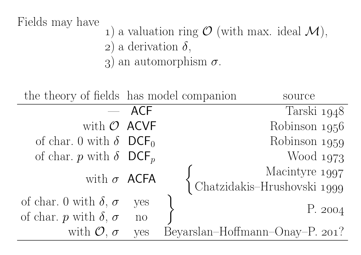#### Fields may have

- (1) a valuation ring  $\mathcal{O}$  (with max. ideal  $\mathcal{M}$ ),
	- 2) a derivation  $\delta$ ,
	- 3) an automorphism  $\sigma$ .

| the theory of fields has model companion  |                | source                                                         |
|-------------------------------------------|----------------|----------------------------------------------------------------|
|                                           | $-$ ACF        | Tarski 1948                                                    |
| with $O$ ACVF                             |                | Robinson 1956                                                  |
| of char. 0 with $\delta$ DCF <sub>0</sub> |                | Robinson 1959                                                  |
| of char. p with $\delta$ DCF <sub>p</sub> |                | Wood 1973                                                      |
| with $\sigma$ ACFA                        |                | Macintyre 1997<br>Macmoyre 1997<br>Chatzidakis–Hrushovski 1999 |
|                                           |                |                                                                |
| of char. 0 with $\delta$ , $\sigma$       | yes            | P. 2004                                                        |
| of char. p with $\delta$ , $\sigma$       | n <sub>o</sub> |                                                                |
| with $\mathcal{O}, \sigma$                | yes            | Beyarslan-Hoffmann-Onay-P. 201?                                |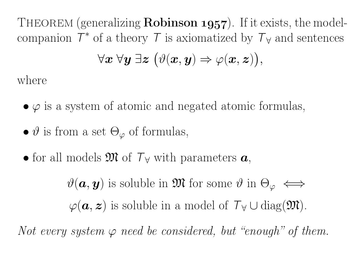THEOREM (generalizing **Robinson 1957**). If it exists, the modelcompanion  $\mathcal{T}^*$  of a theory  $\mathcal T$  is axiomatized by  $\mathcal T_{\forall}$  and sentences  $\forall \boldsymbol{x}~ \forall \boldsymbol{y}~ \exists \boldsymbol{z}~ \big(\vartheta(\boldsymbol{x}, \boldsymbol{y}) \Rightarrow \varphi(\boldsymbol{x}, \boldsymbol{z})\big),$ 

where

- $\varphi$  is a system of atomic and negated atomic formulas,
- $\vartheta$  is from a set  $\Theta_{\varphi}$  of formulas,
- for all models  $\mathfrak{M}$  of  $\mathcal{T}_{\forall}$  with parameters  $\boldsymbol{a}$ ,

 $\vartheta(\boldsymbol{a}, \boldsymbol{y})$  is soluble in  $\mathfrak{M}$  for some  $\vartheta$  in  $\Theta_{\varphi} \iff$  $\varphi({\boldsymbol{a}},{\boldsymbol{z}})$  is soluble in a model of  $\mathcal{T}_{\forall} \cup \text{diag}(\mathfrak{M})$ .

Not every system  $\varphi$  need be considered, but "enough" of them.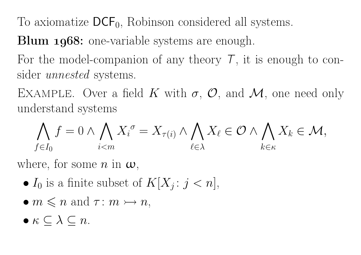To axiomatize  $\mathsf{DCF}_0$ , Robinson considered all systems.

Blum 1968: one-variable systems are enough.

For the model-companion of any theory  $\mathcal{T}$ , it is enough to consider *unnested* systems.

EXAMPLE. Over a field K with  $\sigma$ ,  $\mathcal{O}$ , and  $\mathcal{M}$ , one need only urderstand systems. understand systems

$$
\bigwedge_{f\in I_0}f=0\wedge\bigwedge_{i
$$

where, for some  $n$  in  $\boldsymbol{\omega}$ ,

- $I_0$  is a finite subset of  $K[X_j : j < n],$
- $m \leq n$  and  $\tau : m \rightarrowtail n$ ,
- $\bullet \kappa \subseteq \lambda \subseteq n$ .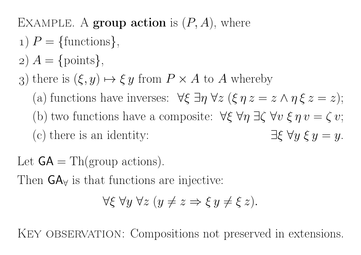# EXAMPLE. A group action is  $(P, A)$ , where

- $1) P = \{\text{functions}\},\$
- $(a) A = \{ \text{points} \},\$
- 3) there is  $(\xi, y) \mapsto \xi y$  from  $P \times A$  to A whereby
	- (a) functions have inverses:  $\forall \xi \; \exists \eta \; \forall z \; (\xi \; \eta \; z = z \land \eta \; \xi \; z = z);$ (b) two functions have a composite:  $\forall \xi \; \forall \eta \; \exists \zeta \; \forall v \; \xi \; \eta \; v = \zeta \; v;$  $(c)$  there is an identity:  $\xi \forall y \xi y = y.$
- Let  $GA = Th(group actions)$ .

Then  $GA<sub>\forall</sub>$  is that functions are injective:

$$
\forall \xi \ \forall y \ \forall z \ (y \neq z \Rightarrow \xi \ y \neq \xi \ z).
$$

KEY OBSERVATION: Compositions not preserved in extensions.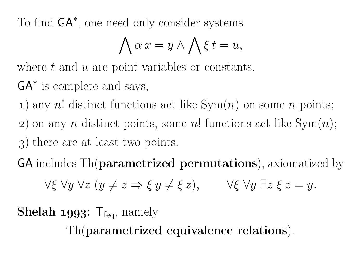To find GA<sup>∗</sup>, one need only consider systems

$$
\bigwedge \alpha \, x = y \wedge \bigwedge \xi \, t = u,
$$

where  $t$  and  $u$  are point variables or constants.

 $GA^*$  is complete and says,

1) any  $n!$  distinct functions act like  $\mathrm{Sym}(n)$  on some  $n$  points; 2) on any  $n$  distinct points, some  $n!$  functions act like  $\text{Sym}(n);$ ) there are at least two points.

 ${\sf GA}$  includes  $\operatorname{Th}(\mathbf{parameterized}\,\, \mathbf{permutations}),$  axiomatized by

$$
\forall \xi \ \forall y \ \forall z \ (y \neq z \Rightarrow \xi \ y \neq \xi \ z), \qquad \forall \xi \ \forall y \ \exists z \ \xi \ z = y.
$$

**Shelah 1993:**  $T_{\text{feq}}$ , namely

Th(parametrized equivalence relations).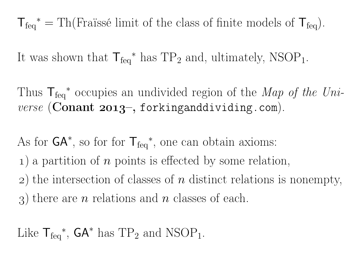$T_{\text{feq}}^* = Th(Fraiss\acute{e} \text{ limit of the class of finite models of } T_{\text{feq}}).$ 

It was shown that  $\mathsf{T}_{\text{feq}}^*$  has  $\text{TP}_2$  and, ultimately,  $\text{NSOP}_1$ .

Thus  ${\sf T}_{\rm feq}^*$  occupies an undivided region of the *Map of the Uni*- $\emph{verse}$  (Conant 2013–, forkinganddividing.com).

As for  $\mathsf{GA}^*$ , so for for  $\mathsf{T}_{\text{feq}}^*$ , one can obtain axioms:

 $(1)$  a partition of  $n$  points is effected by some relation,

 $(2)$  the intersection of classes of  $n$  distinct relations is nonempty,

3) there are  $n$  relations and  $n$  classes of each.

Like  $\mathsf{T}_{\text{feq}}^*$ ,  $\mathsf{GA}^*$  has  $\text{TP}_2$  and  $\text{NSOP}_1$ .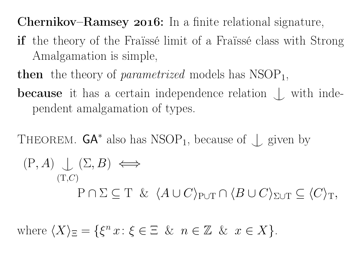### **Chernikov–Ramsey 2016:** In a finite relational signature,

- if the theory of the Fraïssé limit of <sup>a</sup> Fraïssé class with StrongAmalgamation is simple,
- then the theory of *parametrized* models has NSOP 1,
- **because** it has a certain independence relation  $\perp$  with independent amalgamation of types.

THEOREM. **GA**<sup>\*</sup> also has NSOP<sub>1</sub>, because of 
$$
\perp
$$
 given by  
\n
$$
(P, A) \perp ( \Sigma, B) \iff
$$
\n
$$
(T, C)
$$
\n
$$
P \cap \Sigma \subseteq T \& \langle A \cup C \rangle_{P \cup T} \cap \langle B \cup C \rangle_{\Sigma \cup T} \subseteq \langle C \rangle_T,
$$

where  $\langle X \rangle_{\Xi}=$  $\{\xi^n$  $x: \xi \in \Xi \& n \in \mathbb{Z} \& x \in X$ .